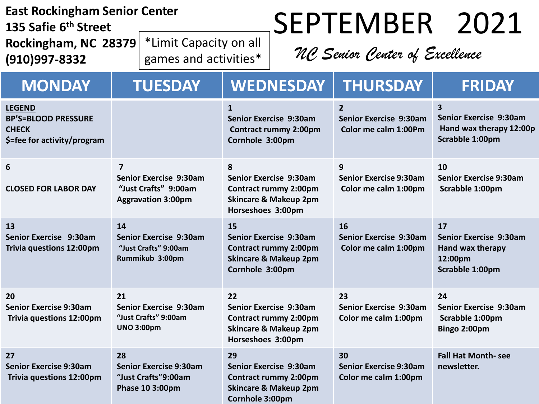| <b>East Rockingham Senior Center</b><br>135 Safie 6 <sup>th</sup> Street                   |                                                                                               |                                                 |                                                                                                                             |                                                                                            | SEPTEMBER 2021                                                   |                                                                                                        |
|--------------------------------------------------------------------------------------------|-----------------------------------------------------------------------------------------------|-------------------------------------------------|-----------------------------------------------------------------------------------------------------------------------------|--------------------------------------------------------------------------------------------|------------------------------------------------------------------|--------------------------------------------------------------------------------------------------------|
| Rockingham, NC 28379<br>(910)997-8332                                                      |                                                                                               | *Limit Capacity on all<br>games and activities* |                                                                                                                             | NC Senior Center of Excellence                                                             |                                                                  |                                                                                                        |
| <b>MONDAY</b>                                                                              |                                                                                               | <b>TUESDAY</b>                                  |                                                                                                                             | <b>WEDNESDAY</b>                                                                           | <b>THURSDAY</b>                                                  | <b>FRIDAY</b>                                                                                          |
| <b>LEGEND</b><br><b>BP'S=BLOOD PRESSURE</b><br><b>CHECK</b><br>\$=fee for activity/program |                                                                                               |                                                 | $\mathbf{1}$<br>Cornhole 3:00pm                                                                                             | Senior Exercise 9:30am<br><b>Contract rummy 2:00pm</b>                                     | $\overline{2}$<br>Senior Exercise 9:30am<br>Color me calm 1:00Pm | $\overline{\mathbf{3}}$<br><b>Senior Exercise 9:30am</b><br>Hand wax therapy 12:00p<br>Scrabble 1:00pm |
| 6<br><b>CLOSED FOR LABOR DAY</b>                                                           | $\overline{7}$<br>Senior Exercise 9:30am<br>"Just Crafts" 9:00am<br><b>Aggravation 3:00pm</b> |                                                 | 8<br><b>Senior Exercise 9:30am</b><br><b>Contract rummy 2:00pm</b><br><b>Skincare &amp; Makeup 2pm</b><br>Horseshoes 3:00pm |                                                                                            | 9<br><b>Senior Exercise 9:30am</b><br>Color me calm 1:00pm       | 10<br><b>Senior Exercise 9:30am</b><br>Scrabble 1:00pm                                                 |
| 13<br>Senior Exercise 9:30am<br>Trivia questions 12:00pm                                   | 14<br><b>Senior Exercise 9:30am</b><br>"Just Crafts" 9:00am<br>Rummikub 3:00pm                |                                                 | 15<br>Senior Exercise 9:30am<br><b>Contract rummy 2:00pm</b><br><b>Skincare &amp; Makeup 2pm</b><br>Cornhole 3:00pm         |                                                                                            | 16<br>Senior Exercise 9:30am<br>Color me calm 1:00pm             | 17<br><b>Senior Exercise 9:30am</b><br>Hand wax therapy<br>12:00pm<br>Scrabble 1:00pm                  |
| 20<br><b>Senior Exercise 9:30am</b><br><b>Trivia questions 12:00pm</b>                     | 21<br>Senior Exercise 9:30am<br>"Just Crafts" 9:00am<br><b>UNO 3:00pm</b>                     |                                                 | 22<br>Senior Exercise 9:30am<br><b>Contract rummy 2:00pm</b><br><b>Skincare &amp; Makeup 2pm</b><br>Horseshoes 3:00pm       |                                                                                            | 23<br>Senior Exercise 9:30am<br>Color me calm 1:00pm             | 24<br>Senior Exercise 9:30am<br>Scrabble 1:00pm<br>Bingo 2:00pm                                        |
| 27<br><b>Senior Exercise 9:30am</b><br>Trivia questions 12:00pm                            | 28<br><b>Senior Exercise 9:30am</b><br>"Just Crafts"9:00am<br>Phase 10 3:00pm                 |                                                 | 29<br>Cornhole 3:00pm                                                                                                       | Senior Exercise 9:30am<br><b>Contract rummy 2:00pm</b><br><b>Skincare &amp; Makeup 2pm</b> | 30<br><b>Senior Exercise 9:30am</b><br>Color me calm 1:00pm      | <b>Fall Hat Month-see</b><br>newsletter.                                                               |

ī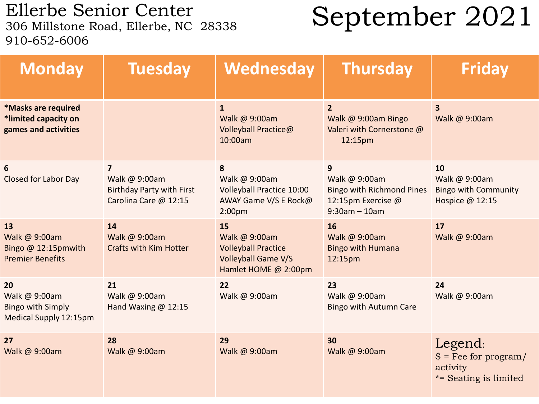Ellerbe Senior Center<br>306 Millstone Road, Ellerbe, NC 28338 910-652-6006

## September 2021

| <b>Monday</b>                                                             | <b>Tuesday</b>                                                                  | Wednesday                                                                                               | <b>Thursday</b>                                                                                 | <b>Friday</b>                                                          |
|---------------------------------------------------------------------------|---------------------------------------------------------------------------------|---------------------------------------------------------------------------------------------------------|-------------------------------------------------------------------------------------------------|------------------------------------------------------------------------|
| *Masks are required<br>*limited capacity on<br>games and activities       |                                                                                 | $\overline{1}$<br>Walk @ 9:00am<br>Volleyball Practice@<br>10:00am                                      | $\overline{2}$<br>Walk @ 9:00am Bingo<br>Valeri with Cornerstone @<br>12:15pm                   | $\overline{\mathbf{3}}$<br>Walk @ 9:00am                               |
| 6<br><b>Closed for Labor Day</b>                                          | 7<br>Walk @ 9:00am<br><b>Birthday Party with First</b><br>Carolina Care @ 12:15 | 8<br>Walk @ 9:00am<br><b>Volleyball Practice 10:00</b><br>AWAY Game V/S E Rock@<br>2:00 <sub>pm</sub>   | 9<br>Walk @ 9:00am<br><b>Bingo with Richmond Pines</b><br>12:15pm Exercise @<br>$9:30am - 10am$ | 10<br>Walk @ 9:00am<br><b>Bingo with Community</b><br>Hospice @ 12:15  |
| 13<br>Walk @ 9:00am<br>Bingo @ 12:15pmwith<br><b>Premier Benefits</b>     | 14<br>Walk @ 9:00am<br><b>Crafts with Kim Hotter</b>                            | 15<br>Walk @ 9:00am<br><b>Volleyball Practice</b><br><b>Volleyball Game V/S</b><br>Hamlet HOME @ 2:00pm | 16<br>Walk @ 9:00am<br><b>Bingo with Humana</b><br>12:15pm                                      | 17<br>Walk @ 9:00am                                                    |
| 20<br>Walk @ 9:00am<br><b>Bingo with Simply</b><br>Medical Supply 12:15pm | 21<br>Walk @ 9:00am<br>Hand Waxing @ 12:15                                      | 22<br>Walk @ 9:00am                                                                                     | 23<br>Walk @ 9:00am<br><b>Bingo with Autumn Care</b>                                            | 24<br>Walk @ 9:00am                                                    |
| 27<br>Walk @ 9:00am                                                       | 28<br>Walk @ 9:00am                                                             | 29<br>Walk @ 9:00am                                                                                     | 30<br>Walk @ 9:00am                                                                             | Legend:<br>$$$ = Fee for program/<br>activity<br>*= Seating is limited |